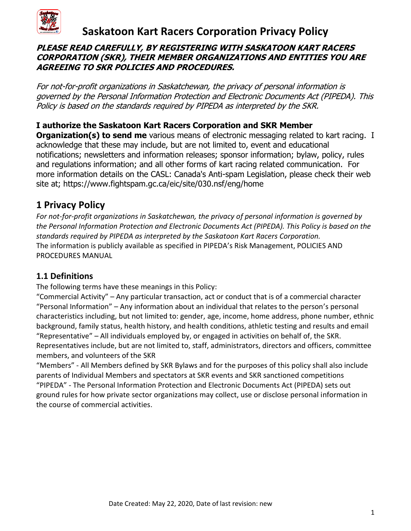

## **PLEASE READ CAREFULLY, BY REGISTERING WITH SASKATOON KART RACERS CORPORATION (SKR), THEIR MEMBER ORGANIZATIONS AND ENTITIES YOU ARE AGREEING TO SKR POLICIES AND PROCEDURES.**

For not-for-profit organizations in Saskatchewan, the privacy of personal information is governed by the Personal Information Protection and Electronic Documents Act (PIPEDA). This Policy is based on the standards required by PIPEDA as interpreted by the SKR.

### **I authorize the Saskatoon Kart Racers Corporation and SKR Member**

**Organization(s) to send me** various means of electronic messaging related to kart racing. I acknowledge that these may include, but are not limited to, event and educational notifications; newsletters and information releases; sponsor information; bylaw, policy, rules and regulations information; and all other forms of kart racing related communication. For more information details on the CASL: Canada's Anti-spam Legislation, please check their web site at; https://www.fightspam.gc.ca/eic/site/030.nsf/eng/home

## **1 Privacy Policy**

*For not-for-profit organizations in Saskatchewan, the privacy of personal information is governed by the Personal Information Protection and Electronic Documents Act (PIPEDA). This Policy is based on the standards required by PIPEDA as interpreted by the Saskatoon Kart Racers Corporation.*  The information is publicly available as specified in PIPEDA's Risk Management, POLICIES AND PROCEDURES MANUAL

## **1.1 Definitions**

The following terms have these meanings in this Policy:

"Commercial Activity" – Any particular transaction, act or conduct that is of a commercial character "Personal Information" – Any information about an individual that relates to the person's personal characteristics including, but not limited to: gender, age, income, home address, phone number, ethnic background, family status, health history, and health conditions, athletic testing and results and email "Representative" – All individuals employed by, or engaged in activities on behalf of, the SKR. Representatives include, but are not limited to, staff, administrators, directors and officers, committee members, and volunteers of the SKR

"Members" - All Members defined by SKR Bylaws and for the purposes of this policy shall also include parents of Individual Members and spectators at SKR events and SKR sanctioned competitions "PIPEDA" - The Personal Information Protection and Electronic Documents Act (PIPEDA) sets out ground rules for how private sector organizations may collect, use or disclose personal information in the course of commercial activities.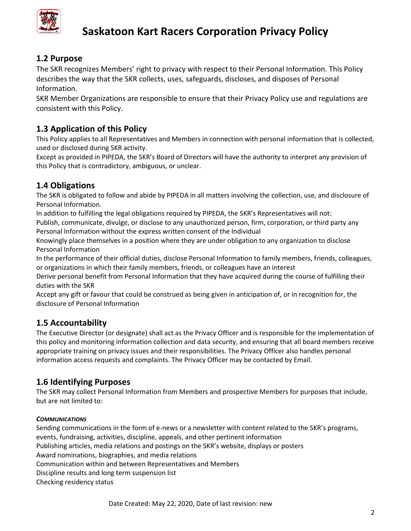

#### **1.2 Purpose**

The SKR recognizes Members' right to privacy with respect to their Personal Information. This Policy describes the way that the SKR collects, uses, safeguards, discloses, and disposes of Personal Information.

SKR Member Organizations are responsible to ensure that their Privacy Policy use and regulations are consistent with this Policy.

## **1.3 Application of this Policy**

This Policy applies to all Representatives and Members in connection with personal information that is collected, used or disclosed during SKR activity.

Except as provided in PIPEDA, the SKR's Board of Directors will have the authority to interpret any provision of this Policy that is contradictory, ambiguous, or unclear.

### **1.4 Obligations**

The SKR is obligated to follow and abide by PIPEDA in all matters involving the collection, use, and disclosure of Personal Information.

In addition to fulfilling the legal obligations required by PIPEDA, the SKR's Representatives will not:

Publish, communicate, divulge, or disclose to any unauthorized person, firm, corporation, or third party any Personal Information without the express written consent of the Individual

Knowingly place themselves in a position where they are under obligation to any organization to disclose Personal Information

In the performance of their official duties, disclose Personal Information to family members, friends, colleagues, or organizations in which their family members, friends, or colleagues have an interest

Derive personal benefit from Personal Information that they have acquired during the course of fulfilling their duties with the SKR

Accept any gift or favour that could be construed as being given in anticipation of, or in recognition for, the disclosure of Personal Information

#### **1.5 Accountability**

The Executive Director (or designate) shall act as the Privacy Officer and is responsible for the implementation of this policy and monitoring information collection and data security, and ensuring that all board members receive appropriate training on privacy issues and their responsibilities. The Privacy Officer also handles personal information access requests and complaints. The Privacy Officer may be contacted by Email.

## **1.6 Identifying Purposes**

The SKR may collect Personal Information from Members and prospective Members for purposes that include, but are not limited to:

#### *COMMUNICATIONS*

Sending communications in the form of e-news or a newsletter with content related to the SKR's programs, events, fundraising, activities, discipline, appeals, and other pertinent information Publishing articles, media relations and postings on the SKR's website, displays or posters Award nominations, biographies, and media relations Communication within and between Representatives and Members Discipline results and long term suspension list Checking residency status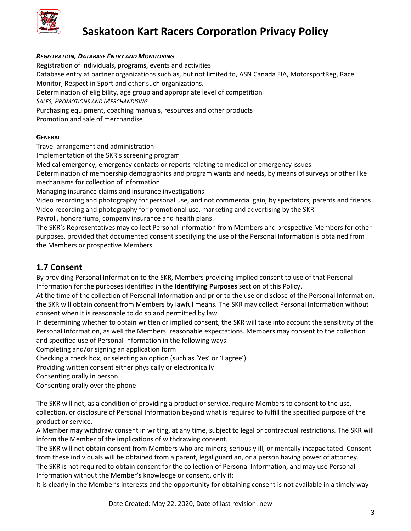

#### *REGISTRATION, DATABASE ENTRY AND MONITORING*

Registration of individuals, programs, events and activities Database entry at partner organizations such as, but not limited to, ASN Canada FIA, MotorsportReg, Race Monitor, Respect in Sport and other such organizations. Determination of eligibility, age group and appropriate level of competition *SALES, PROMOTIONS AND MERCHANDISING*  Purchasing equipment, coaching manuals, resources and other products Promotion and sale of merchandise **GENERAL**  Travel arrangement and administration

Implementation of the SKR's screening program

Medical emergency, emergency contacts or reports relating to medical or emergency issues

Determination of membership demographics and program wants and needs, by means of surveys or other like mechanisms for collection of information

Managing insurance claims and insurance investigations

Video recording and photography for personal use, and not commercial gain, by spectators, parents and friends Video recording and photography for promotional use, marketing and advertising by the SKR

Payroll, honorariums, company insurance and health plans.

The SKR's Representatives may collect Personal Information from Members and prospective Members for other purposes, provided that documented consent specifying the use of the Personal Information is obtained from the Members or prospective Members.

#### **1.7 Consent**

By providing Personal Information to the SKR, Members providing implied consent to use of that Personal Information for the purposes identified in the **Identifying Purposes** section of this Policy.

At the time of the collection of Personal Information and prior to the use or disclose of the Personal Information, the SKR will obtain consent from Members by lawful means. The SKR may collect Personal Information without consent when it is reasonable to do so and permitted by law.

In determining whether to obtain written or implied consent, the SKR will take into account the sensitivity of the Personal Information, as well the Members' reasonable expectations. Members may consent to the collection and specified use of Personal Information in the following ways:

Completing and/or signing an application form

Checking a check box, or selecting an option (such as 'Yes' or 'I agree')

Providing written consent either physically or electronically

Consenting orally in person.

Consenting orally over the phone

The SKR will not, as a condition of providing a product or service, require Members to consent to the use, collection, or disclosure of Personal Information beyond what is required to fulfill the specified purpose of the product or service.

A Member may withdraw consent in writing, at any time, subject to legal or contractual restrictions. The SKR will inform the Member of the implications of withdrawing consent.

The SKR will not obtain consent from Members who are minors, seriously ill, or mentally incapacitated. Consent from these individuals will be obtained from a parent, legal guardian, or a person having power of attorney. The SKR is not required to obtain consent for the collection of Personal Information, and may use Personal Information without the Member's knowledge or consent, only if:

It is clearly in the Member's interests and the opportunity for obtaining consent is not available in a timely way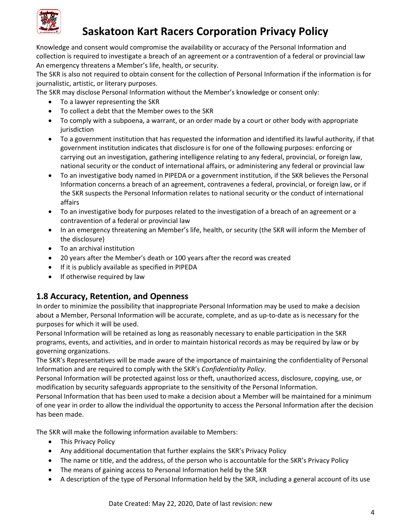

Knowledge and consent would compromise the availability or accuracy of the Personal Information and collection is required to investigate a breach of an agreement or a contravention of a federal or provincial law An emergency threatens a Member's life, health, or security.

The SKR is also not required to obtain consent for the collection of Personal Information if the information is for journalistic, artistic, or literary purposes.

The SKR may disclose Personal Information without the Member's knowledge or consent only:

- To a lawyer representing the SKR
- To collect a debt that the Member owes to the SKR
- To comply with a subpoena, a warrant, or an order made by a court or other body with appropriate jurisdiction
- To a government institution that has requested the information and identified its lawful authority, if that government institution indicates that disclosure is for one of the following purposes: enforcing or carrying out an investigation, gathering intelligence relating to any federal, provincial, or foreign law, national security or the conduct of international affairs, or administering any federal or provincial law
- To an investigative body named in PIPEDA or a government institution, if the SKR believes the Personal Information concerns a breach of an agreement, contravenes a federal, provincial, or foreign law, or if the SKR suspects the Personal Information relates to national security or the conduct of international affairs
- To an investigative body for purposes related to the investigation of a breach of an agreement or a contravention of a federal or provincial law
- In an emergency threatening an Member's life, health, or security (the SKR will inform the Member of the disclosure)
- To an archival institution
- 20 years after the Member's death or 100 years after the record was created
- If it is publicly available as specified in PIPEDA
- If otherwise required by law

#### **1.8 Accuracy, Retention, and Openness**

In order to minimize the possibility that inappropriate Personal Information may be used to make a decision about a Member, Personal Information will be accurate, complete, and as up-to-date as is necessary for the purposes for which it will be used.

Personal Information will be retained as long as reasonably necessary to enable participation in the SKR programs, events, and activities, and in order to maintain historical records as may be required by law or by governing organizations.

The SKR's Representatives will be made aware of the importance of maintaining the confidentiality of Personal Information and are required to comply with the SKR's *Confidentiality Policy*.

Personal Information will be protected against loss or theft, unauthorized access, disclosure, copying, use, or modification by security safeguards appropriate to the sensitivity of the Personal Information.

Personal Information that has been used to make a decision about a Member will be maintained for a minimum of one year in order to allow the individual the opportunity to access the Personal Information after the decision has been made.

The SKR will make the following information available to Members:

- This Privacy Policy
- Any additional documentation that further explains the SKR's Privacy Policy
- The name or title, and the address, of the person who is accountable for the SKR's Privacy Policy
- The means of gaining access to Personal Information held by the SKR
- A description of the type of Personal Information held by the SKR, including a general account of its use